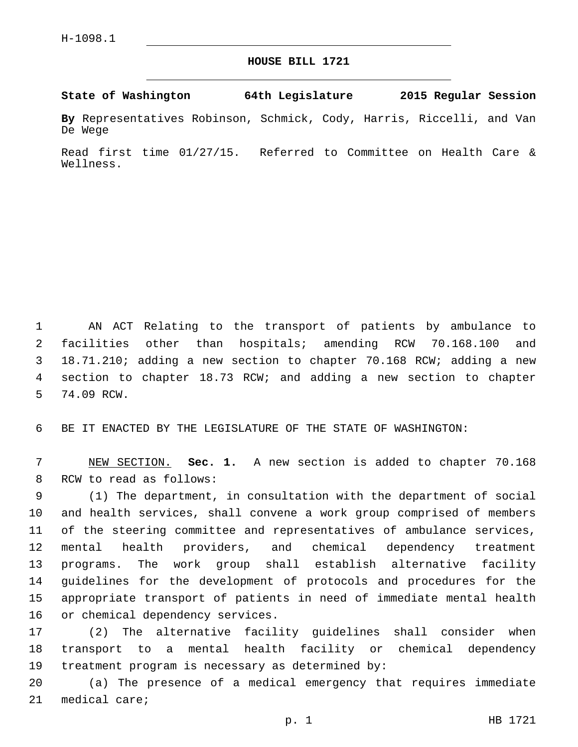## **HOUSE BILL 1721**

## **State of Washington 64th Legislature 2015 Regular Session**

**By** Representatives Robinson, Schmick, Cody, Harris, Riccelli, and Van De Wege

Read first time 01/27/15. Referred to Committee on Health Care & Wellness.

 AN ACT Relating to the transport of patients by ambulance to facilities other than hospitals; amending RCW 70.168.100 and 18.71.210; adding a new section to chapter 70.168 RCW; adding a new section to chapter 18.73 RCW; and adding a new section to chapter 5 74.09 RCW.

6 BE IT ENACTED BY THE LEGISLATURE OF THE STATE OF WASHINGTON:

7 NEW SECTION. **Sec. 1.** A new section is added to chapter 70.168 8 RCW to read as follows:

 (1) The department, in consultation with the department of social and health services, shall convene a work group comprised of members of the steering committee and representatives of ambulance services, mental health providers, and chemical dependency treatment programs. The work group shall establish alternative facility guidelines for the development of protocols and procedures for the appropriate transport of patients in need of immediate mental health 16 or chemical dependency services.

17 (2) The alternative facility guidelines shall consider when 18 transport to a mental health facility or chemical dependency 19 treatment program is necessary as determined by:

20 (a) The presence of a medical emergency that requires immediate 21 medical care;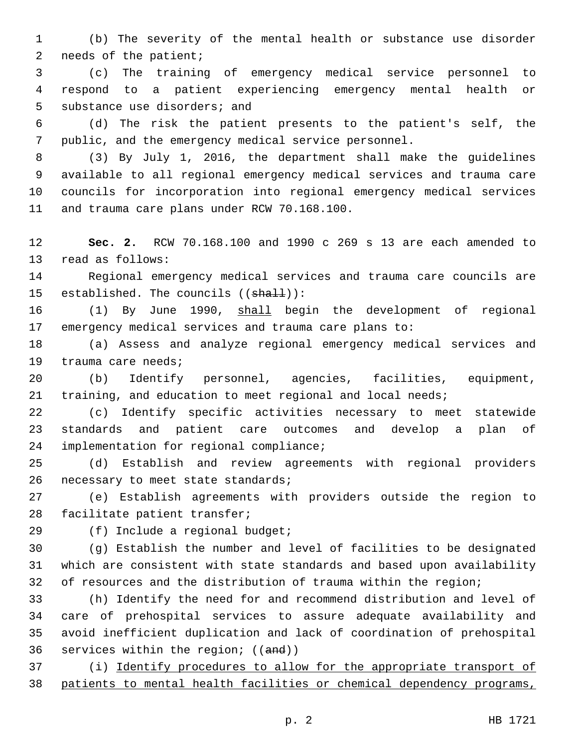(b) The severity of the mental health or substance use disorder 2 needs of the patient;

 (c) The training of emergency medical service personnel to respond to a patient experiencing emergency mental health or 5 substance use disorders; and

 (d) The risk the patient presents to the patient's self, the public, and the emergency medical service personnel.

 (3) By July 1, 2016, the department shall make the guidelines available to all regional emergency medical services and trauma care councils for incorporation into regional emergency medical services 11 and trauma care plans under RCW 70.168.100.

 **Sec. 2.** RCW 70.168.100 and 1990 c 269 s 13 are each amended to 13 read as follows:

 Regional emergency medical services and trauma care councils are 15 established. The councils  $((shall))$ :

 (1) By June 1990, shall begin the development of regional emergency medical services and trauma care plans to:

 (a) Assess and analyze regional emergency medical services and 19 trauma care needs;

 (b) Identify personnel, agencies, facilities, equipment, training, and education to meet regional and local needs;

 (c) Identify specific activities necessary to meet statewide standards and patient care outcomes and develop a plan of 24 implementation for regional compliance;

 (d) Establish and review agreements with regional providers 26 necessary to meet state standards;

 (e) Establish agreements with providers outside the region to 28 facilitate patient transfer;

29 (f) Include a regional budget;

 (g) Establish the number and level of facilities to be designated which are consistent with state standards and based upon availability of resources and the distribution of trauma within the region;

 (h) Identify the need for and recommend distribution and level of care of prehospital services to assure adequate availability and avoid inefficient duplication and lack of coordination of prehospital 36 services within the region; ((and))

 (i) Identify procedures to allow for the appropriate transport of patients to mental health facilities or chemical dependency programs,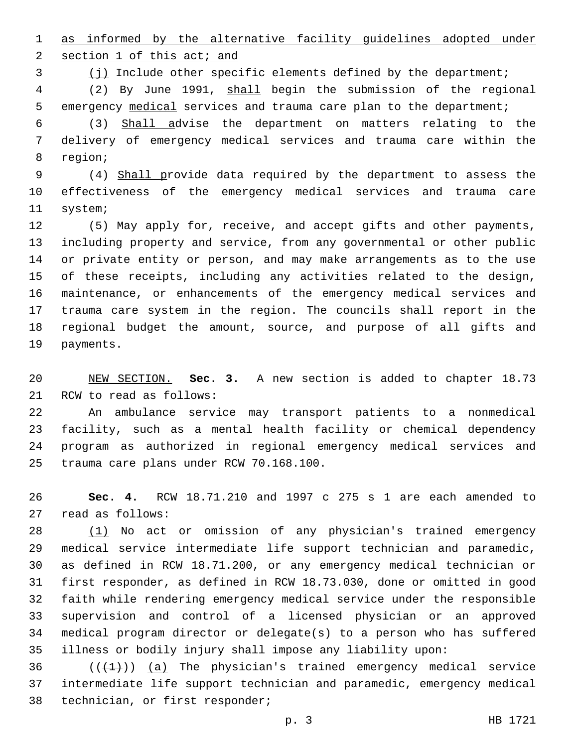as informed by the alternative facility guidelines adopted under

2 section 1 of this act; and

(j) Include other specific elements defined by the department;

 (2) By June 1991, shall begin the submission of the regional emergency medical services and trauma care plan to the department;

 (3) Shall advise the department on matters relating to the delivery of emergency medical services and trauma care within the 8 region;

 (4) Shall provide data required by the department to assess the effectiveness of the emergency medical services and trauma care 11 system;

 (5) May apply for, receive, and accept gifts and other payments, including property and service, from any governmental or other public or private entity or person, and may make arrangements as to the use of these receipts, including any activities related to the design, maintenance, or enhancements of the emergency medical services and trauma care system in the region. The councils shall report in the regional budget the amount, source, and purpose of all gifts and 19 payments.

 NEW SECTION. **Sec. 3.** A new section is added to chapter 18.73 21 RCW to read as follows:

 An ambulance service may transport patients to a nonmedical facility, such as a mental health facility or chemical dependency program as authorized in regional emergency medical services and 25 trauma care plans under RCW 70.168.100.

 **Sec. 4.** RCW 18.71.210 and 1997 c 275 s 1 are each amended to 27 read as follows:

 (1) No act or omission of any physician's trained emergency medical service intermediate life support technician and paramedic, as defined in RCW 18.71.200, or any emergency medical technician or first responder, as defined in RCW 18.73.030, done or omitted in good faith while rendering emergency medical service under the responsible supervision and control of a licensed physician or an approved medical program director or delegate(s) to a person who has suffered illness or bodily injury shall impose any liability upon:

36  $((+1))$  (a) The physician's trained emergency medical service intermediate life support technician and paramedic, emergency medical 38 technician, or first responder;